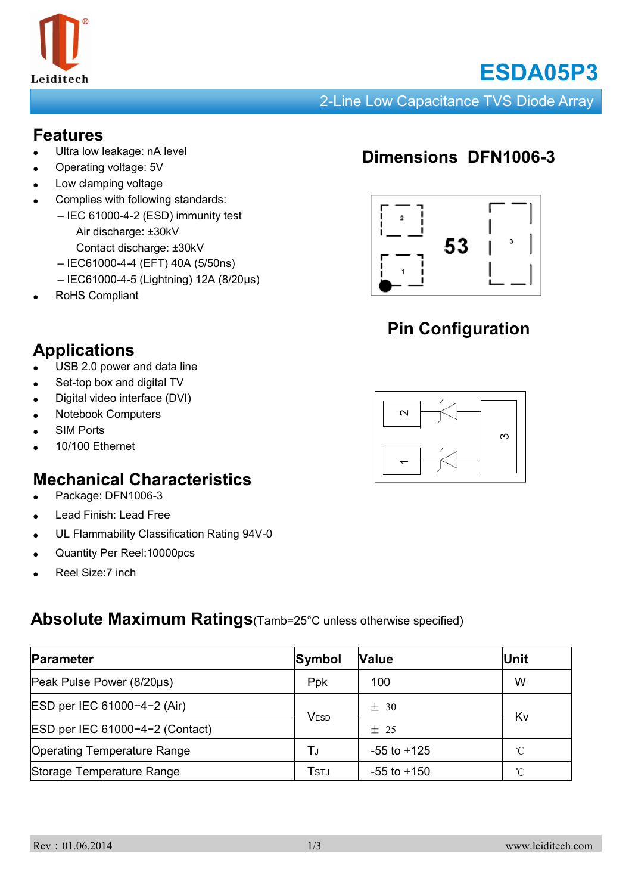

# **ESDA05P3**

#### 2-Line Low Capacitance TVS Diode Array

#### **Features**

- Ultra low leakage: nA level
- Operating voltage: 5V
- Low clamping voltage
- Complies with following standards:
	- IEC 61000-4-2 (ESD) immunity test
		- Air discharge: ±30kV
		- Contact discharge: ±30kV – IEC61000-4-4 (EFT) 40A (5/50ns)
		- IEC61000-4-5 (Lightning) 12A (8/20μs)
- RoHS Compliant

## **Applications**

- USB 2.0 power and data line
- Set-top box and digital TV
- Digital video interface (DVI)
- **Notebook Computers**
- **SIM Ports**
- 10/100 Ethernet

## **Mechanical Characteristics**

- Package: DFN1006-3
- Lead Finish: Lead Free
- UL Flammability Classification Rating 94V-0
- Quantity Per Reel: 10000pcs
- Reel Size:7 inch

#### **Absolute Maximum Ratings**(Tamb=25°C unless otherwise specified)

| Parameter                          | Symbol           | <b>Value</b>    | Unit |  |
|------------------------------------|------------------|-----------------|------|--|
| Peak Pulse Power (8/20µs)          | Ppk              | 100             | W    |  |
| ESD per IEC 61000-4-2 (Air)        | V <sub>ESD</sub> | ± 30            | Kv   |  |
| ESD per IEC 61000-4-2 (Contact)    |                  | $+25$           |      |  |
| <b>Operating Temperature Range</b> | Tu               | $-55$ to $+125$ | °C   |  |
| Storage Temperature Range          | Tstj             | $-55$ to $+150$ | °C   |  |

## **Dimensions DFN1006-3**



## **Pin Configuration**

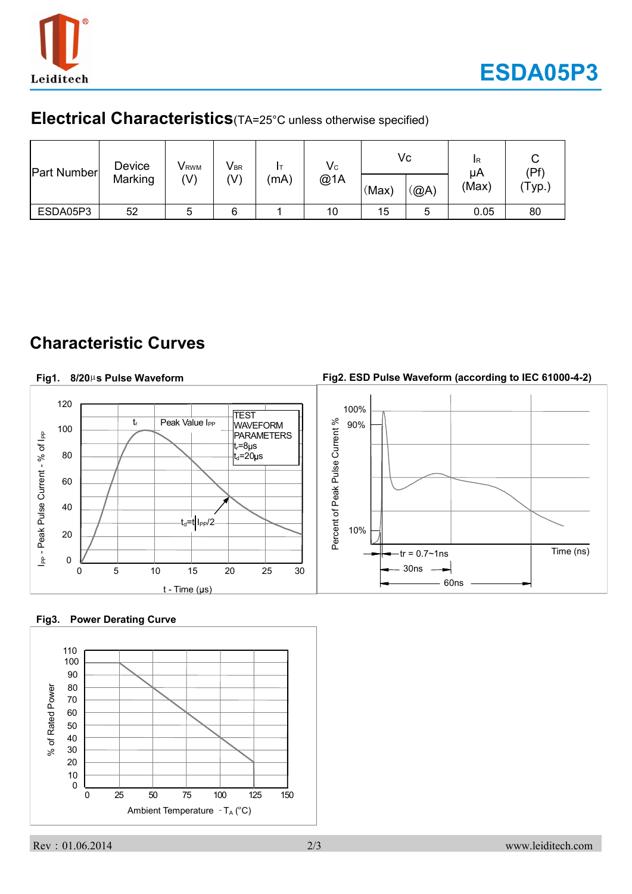

### **Electrical Characteristics**(TA=25°C unless otherwise specified)

| Part Number | Device  | V <sub>RWM</sub> | $V_{\sf BR}$ | $\mathsf{V}\mathrm{c}$<br>@1A<br>(mA) |    | Vc    |      | <b>IR</b><br>μA | ⌒<br>U<br>(Pf) |
|-------------|---------|------------------|--------------|---------------------------------------|----|-------|------|-----------------|----------------|
|             | Marking | (V)              | (V)          |                                       |    | (Max) | (@A) | (Max)           | 'Typ.)         |
| ESDA05P3    | 52      | ৩                | 6            |                                       | 10 | 15    |      | 0.05            | 80             |

## **Characteristic Curves**

#### **Fig2. ESD Pulse Waveform (according to IEC 61000-4-2) Fig1. 8/20**µ**s Pulse Waveform** 120 100% **TEST** Percent of Peak Pulse Current % tr Peak Value I<sub>PP</sub> 90% WAVEFORM Percent of Peak Pulse Current % 100 I<sub>PP</sub> - Peak Pulse Current - % of I<sub>PP</sub> PARAMETERS I<sub>PP</sub> - Peak Pulse Current - % of I<sub>PP</sub> t<sub>r</sub>=8µs 80  $t_{d}$ =20 $\mu$ s 60 40  $-t_d=t$  I<sub>PP</sub>/2 10% 20  $-{\rm tr} = 0.7 \sim 1$ ns  $\vert$  Time (ns) 0 30ns 0 5 10 15 20 25 30 60ns  $t - Time (µs)$